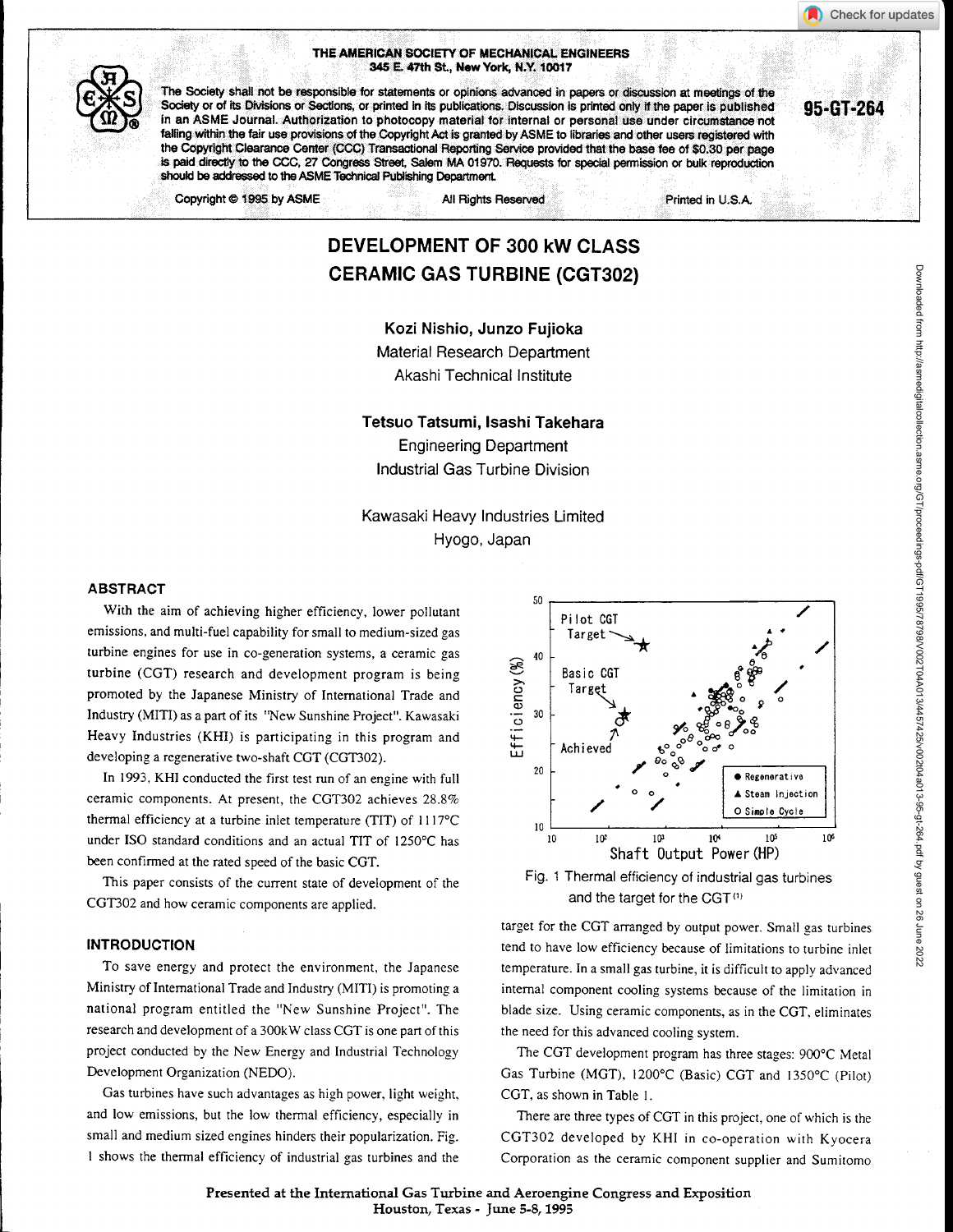### THE AMERICAN SOCIETY OF MECHANICAL ENGINEERS 345 E. 47th St., New York, N.Y. 10017

THE AMERICAN SOCIETY OF MECHANICAL ENGINEERS<br>345 E. 47th St., New York, N.Y. 10017<br>The Society shall not be responsible for statements or opinions advanced in papers or discussion at meetings of the<br>Society or of its Divis The Society shall not be responsible for statements or opinions advanced in papers or discussion at meetings of the<br>Society or of its Divisions or Sections, or printed in its publications. Discussion is printed only if the falling within the fair use provisions of the Copyright Act is granted by ASME to libraries and other users registered with the Copyright Clearance Center (CCC) Transactional Reporting Service provided that the base fee of \$0.30 per page is paid directly to the CCC, 27 Congress Street, Salem MA 01970. Requests for special permission or bulk reproduction should be addressed to the ASME Technical Publishing Department.

Copyright © 1995 by ASME All Rights Reserved **All Rights Reserved** Printed in U.S.A.

# DEVELOPMENT OF 300 kW CLASS CERAMIC GAS TURBINE (CGT302)

Kozi Nishio, Junzo Fujioka Material Research Department Akashi Technical Institute

Tetsuo Tatsumi, Isashi Takehara Engineering Department Industrial Gas Turbine Division

Kawasaki Heavy Industries Limited Hyogo, Japan

#### ABSTRACT

With the aim of achieving higher efficiency, lower pollutant emissions, and multi-fuel capability for small to medium-sized gas turbine engines for use in co-generation systems, a ceramic gas turbine (CGT) research and development program is being promoted by the Japanese Ministry of International Trade and Industry (MITI) as a part of its "New Sunshine Project". Kawasaki Heavy Industries (KHI) is participating in this program and developing a regenerative two-shaft CGT (CGT302).

In 1993, KHI conducted the first test run of an engine with full ceramic components. At present, the CGT302 achieves 28.8% thermal efficiency at a turbine inlet temperature (TIT) of 1117°C under ISO standard conditions and an actual TIT of 1250°C has been confirmed at the rated speed of the basic CGT.

This paper consists of the current state of development of the CGT302 and how ceramic components are applied.

#### **INTRODUCTION**

To save energy and protect the environment, the Japanese Ministry of International Trade and Industry (MITI) is promoting a national program entitled the "New Sunshine Project". The research and development of a 300kW class CGT is one part of this project conducted by the New Energy and Industrial Technology Development Organization (NEDO).

Gas turbines have such advantages as high power, light weight, and low emissions, but the low thermal efficiency, especially in small and medium sized engines hinders their popularization. Fig. I shows the thermal efficiency of industrial gas turbines and the



and the target for the CGT $(1)$ 

target for the CGT arranged by output power. Small gas turbines tend to have low efficiency because of limitations to turbine inlet temperature. In a small gas turbine, it is difficult to apply advanced internal component cooling systems because of the limitation in blade size. Using ceramic components, as in the CGT, eliminates the need for this advanced cooling system.

The CGT development program has three stages: 900°C Metal Gas Turbine (MGT), 1200°C (Basic) CGT and 1350°C (Pilot) CGT, as shown in Table 1.

There are three types of CGT in this project, one of which is the CGT302 developed by KHI in co-operation with Kyocera Corporation as the ceramic component supplier and Sumitomo

Check for updates

Presented at the International Gas Turbine and Aeroengine Congress and Exposition Houston, Texas - June 5-8,1995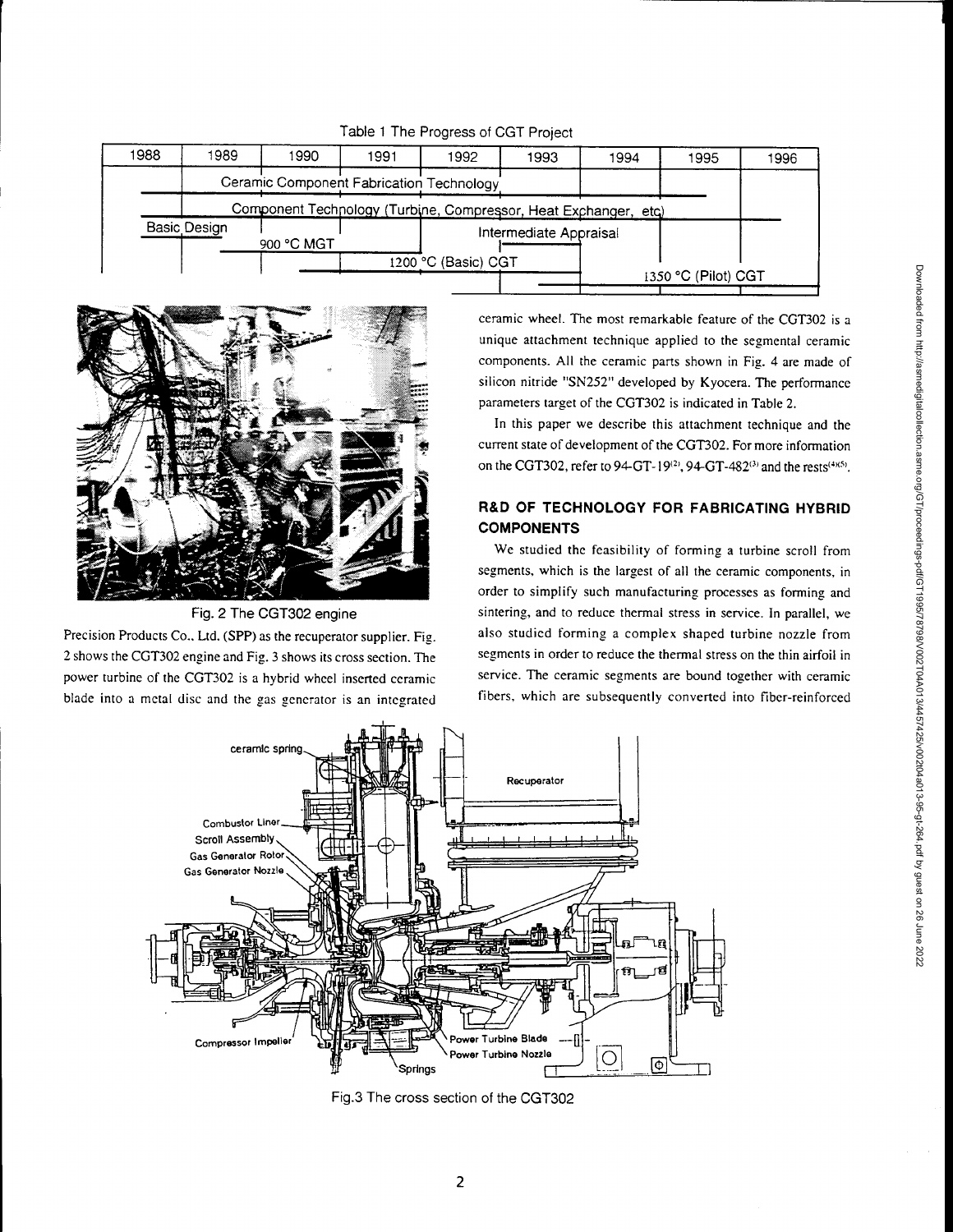|      |              |                                                                 |      | <b>EQUIPT THE FIGURESS OF COLL FIDELL</b> |                        |      |                     |      |
|------|--------------|-----------------------------------------------------------------|------|-------------------------------------------|------------------------|------|---------------------|------|
| 1988 | 1989         | 1990                                                            | 1991 | 1992                                      | 1993                   | 1994 | 1995                | 1996 |
|      |              | Ceramic Component Fabrication Technology                        |      |                                           |                        |      |                     |      |
|      |              | Component Technology (Turbine, Compressor, Heat Exchanger, etc) |      |                                           |                        |      |                     |      |
|      | Basic Design | 900 °C MGT                                                      |      |                                           | Intermediate Appraisal |      |                     |      |
|      |              |                                                                 |      | 1200 °C (Basic) CGT                       |                        |      | 1350 °C (Pilot) CGT |      |
|      |              |                                                                 |      |                                           |                        |      |                     |      |

Table 1 The Progress of CGT Project



Fig. 2 The CGT302 engine

Precision Products Co.. Ltd. (SPP) as the recuperator supplier. Fig. 2 shows the CGT302 engine and Fig. 3 shows its cross section. The power turbine of the CGT302 is a hybrid wheel inserted ceramic blade into a metal disc and the gas generator is an integrated ceramic wheel. The most remarkable feature of the CGT302 is a unique attachment technique applied to the segmental ceramic components. All the ceramic parts shown in Fig. 4 are made of silicon nitride "SN252" developed by Kyocera. The performance parameters target of the CGT302 is indicated in Table 2.

In this paper we describe this attachment technique and the current state of development of the CGT302. For more information on the CGT302, refer to 94-GT-19<sup>(2)</sup>, 94-GT-482<sup>(3)</sup> and the rests<sup>(4)(5)</sup>.

# **R&D OF TECHNOLOGY FOR FABRICATING HYBRID COMPONENTS**

We studied the feasibility of forming a turbine scroll from segments, which is the largest of all the ceramic components, in order to simplify such manufacturing processes as forming and sintering, and to reduce thermal stress in service. In parallel, we also studied forming a complex shaped turbine nozzle from segments in order to reduce the thermal stress on the thin airfoil in service. The ceramic segments are bound together with ceramic fibers, which are subsequently converted into fiber-reinforced



Fig.3 The cross section of the CGT302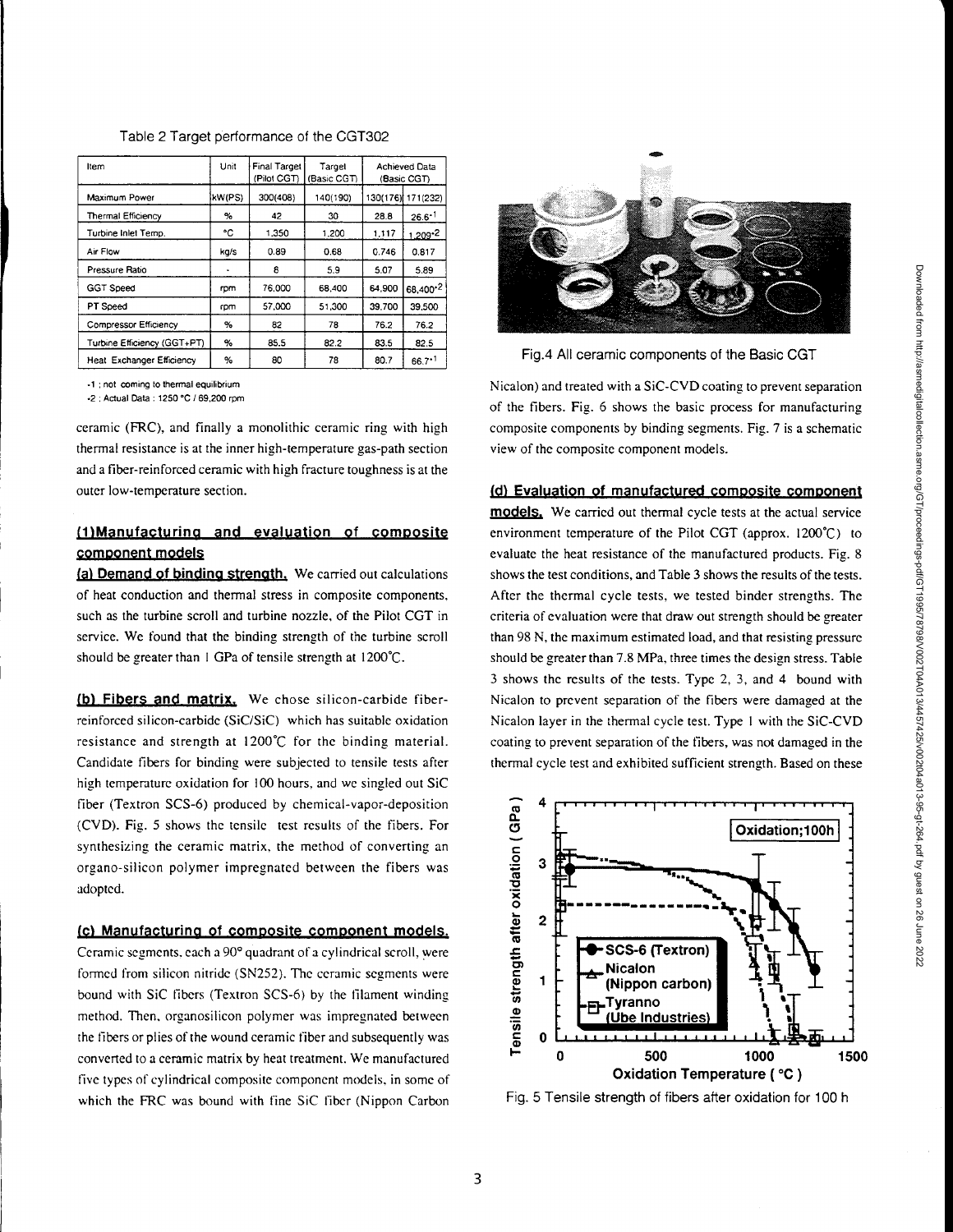| Item                             | Unit   | Final Target<br>(Pilot CGT) | Target<br>(Basic CGT) |          | Achieved Data<br>(Basic CGT) |
|----------------------------------|--------|-----------------------------|-----------------------|----------|------------------------------|
| Maximum Power                    | kW(PS) | 300(408)                    | 140(190)              | 130(176) | 171(232)                     |
| <b>Thermal Efficiency</b>        | $\%$   | 42                          | 30                    | 28.8     | $26.6^{+1}$                  |
| Turbine Inlet Temp.              | ۰c     | 1.350                       | 1,200                 | 1,117    | $1.209 - 2$                  |
| Air Flow                         | kg/s   | 0.89                        | 0.68                  | 0.746    | 0.817                        |
| Pressure Ratio                   |        | 8                           | 5.9                   | 5.07     | 5.89                         |
| <b>GGT Speed</b>                 | rpm    | 76,000                      | 68,400                | 64.900   | 68,400-2                     |
| PT Speed                         | rpm    | 57,000                      | 51.300                | 39,700   | 39.500                       |
| Compressor Efficiency            | %      | 82                          | 78                    | 76.2     | 76.2                         |
| Turbine Efficiency (GGT+PT)      | %      | 85.5                        | 82.2                  | 83.5     | 82.5                         |
| <b>Heat Exchanger Efficiency</b> | %      | 80                          | 78                    | 80.7     | $66.7 \cdot 1$               |

Table 2 Target performance of the CGT302

•1 ;not coming to thermal equilibrium

.2 ; Actual Data : 1250 °C / 69,200 rpm

ceramic (FRC), and finally a monolithic ceramic ring with high thermal resistance is at the inner high-temperature gas-path section and a fiber-reinforced ceramic with high fracture toughness is at the outer low-temperature section.

# (1)Manufacturina and evaluation of composite component models

(a) Demand of binding strength. We carried out calculations of heat conduction and thermal stress in composite components, such as the turbine scroll and turbine nozzle, of the Pilot CGT in service. We found that the binding strength of the turbine scroll should be greater than 1 GPa of tensile strength at  $1200^{\circ}$ C.

(b) Fibers and matrix. We chose silicon-carbide fiberreinforced silicon-carbide (SiC/SiC) which has suitable oxidation resistance and strength at 1200 °C for the binding material. Candidate fibers for binding were subjected to tensile tests after high temperature oxidation for 100 hours, and we singled out SiC fiber (Textron SCS-6) produced by chemical-vapor-deposition (CVD). Fig. 5 shows the tensile test results of the fibers. For synthesizing the ceramic matrix, the method of converting an organo-silicon polymer impregnated between the fibers was adopted.

# (c) Manufacturina of composite component models.

Ceramic segments. each a 90° quadrant of a cylindrical scroll, were formed from silicon nitride (SN252). The ceramic segments were bound with SiC fibers (Textron SCS-6) by the filament winding method. Then, organosilicon polymer was impregnated between the fibers or plies of the wound ceramic fiber and subsequently was converted to a ceramic matrix by heat treatment. We manufactured five types of cylindrical composite component models, in some of which the FRC was bound with fine SiC fiber (Nippon Carbon



Fig.4 All ceramic components of the Basic CGT

Nicalon) and treated with a SiC-CVD coating to prevent separation of the fibers. Fig. 6 shows the basic process for manufacturing composite components by binding segments. Fig. 7 is a schematic view of the composite component models.

### Evaluation of manufactured composite comoonen

models. We carried out thermal cycle tests at the actual service environment temperature of the Pilot CGT (approx. 1200°C) to evaluate the heat resistance of the manufactured products. Fig. 8 shows the test conditions, and Table 3 shows the results of the tests. After the thermal cycle tests, we tested binder strengths. The criteria of evaluation were that draw out strength should be greater than 98 N, the maximum estimated load, and that resisting pressure should be greater than 7.8 MPa, three times the design stress. Table 3 shows the results of the tests. Type 2, 3, and 4 bound with Nicalon to prevent separation of the fibers were damaged at the Nicalon layer in the thermal cycle test. Type I with the SiC-CVD coating to prevent separation of the fibers, was not damaged in the thermal cycle test and exhibited sufficient strength. Based on these



Fig. 5 Tensile strength of fibers after oxidation for 100 h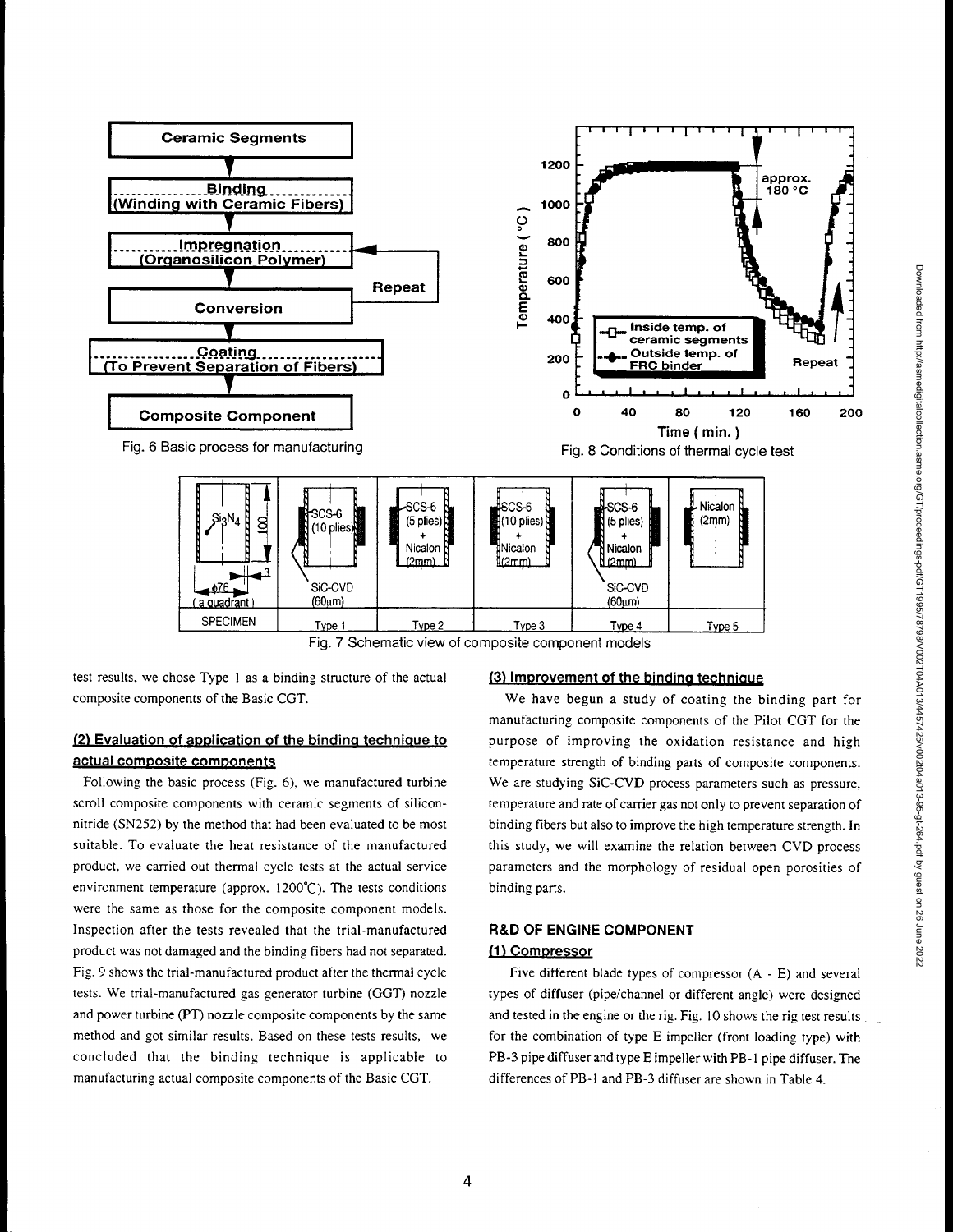

Fig. 7 Schematic view of composite component models

test results, we chose Type I as a binding structure of the actual composite components of the Basic CGT.

# (2) Evaluation of application of the binding technique to actuai composite components

Following the basic process (Fig. 6), we manufactured turbine scroll composite components with ceramic segments of siliconnitride (SN252) by the method that had been evaluated to be most suitable. To evaluate the heat resistance of the manufactured product, we carried out thermal cycle tests at the actual service environment temperature (approx. 1200°C). The tests conditions were the same as those for the composite component models. Inspection after the tests revealed that the trial-manufactured product was not damaged and the binding fibers had not separated. Fig. 9 shows the trial-manufactured product after the thermal cycle tests. We trial-manufactured gas generator turbine (GOT) nozzle and power turbine (PT) nozzle composite components by the same method and got similar results. Based on these tests results, we concluded that the binding technique is applicable to manufacturing actual composite components of the Basic CGT.

## (3) Improvement of the binding technique

We have begun a study of coating the binding part for manufacturing composite components of the Pilot CGT for the purpose of improving the oxidation resistance and high temperature strength of binding parts of composite components. We are studying SiC-CVD process parameters such as pressure, temperature and rate of carrier gas not only to prevent separation of binding fibers but also to improve the high temperature strength. In this study, we will examine the relation between CVD process parameters and the morphology of residual open porosities of binding parts.

# R&D OF ENGINE COMPONENT (1) Compressor

Five different blade types of compressor (A - E) and several types of diffuser (pipe/channel or different angle) were designed and tested in the engine or the rig. Fig. 10 shows the rig test results for the combination of type E impeller (front loading type) with PB-3 pipe diffuser and type E impeller with PB- I pipe diffuser. The differences of PB-I and PB-3 diffuser are shown in Table 4.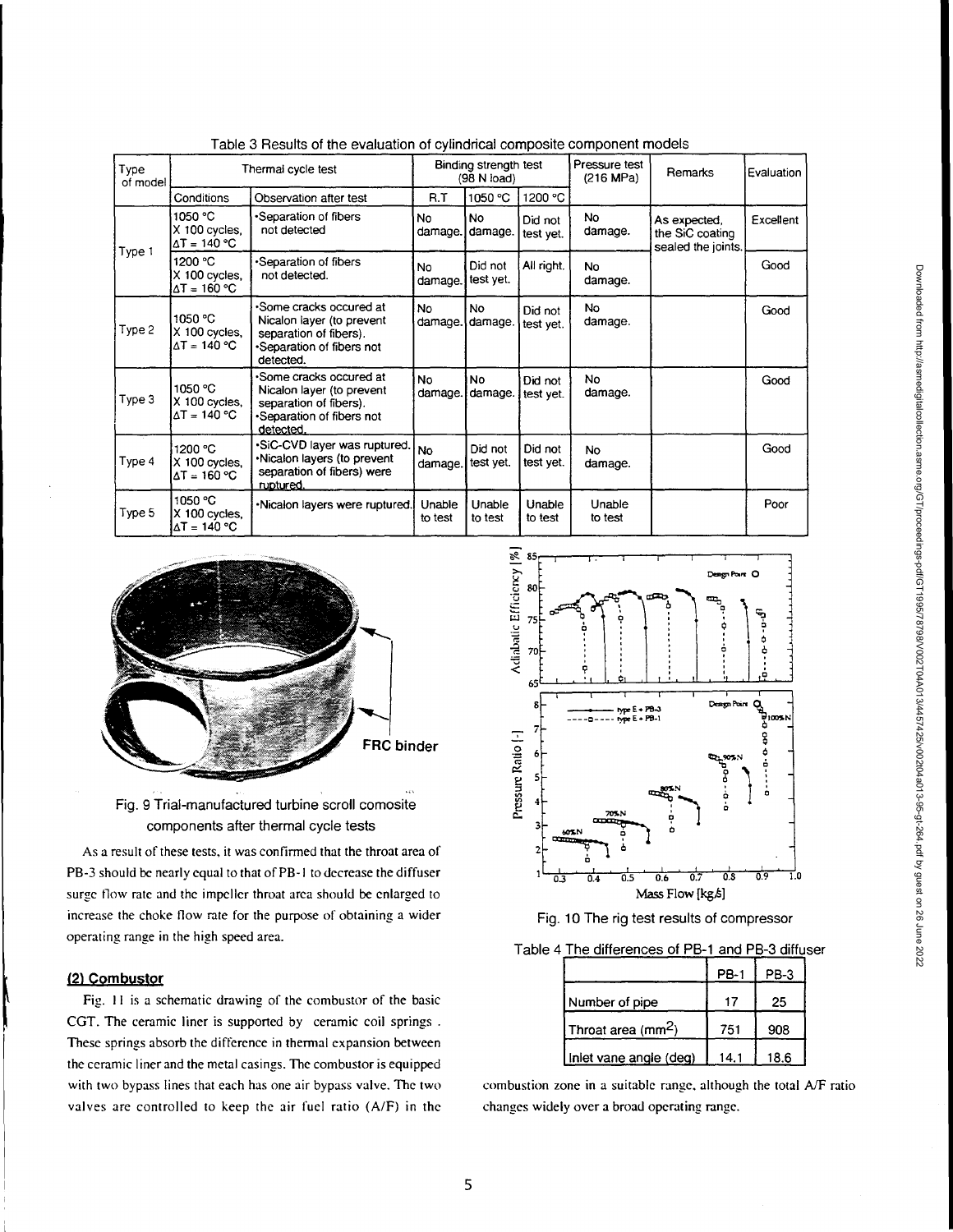| Type<br>of model | Thermal cycle test                              |                                                                                                                          | Binding strength test<br>(98 N load) |                      | Pressure test<br>(216 MPa) | Remarks              | Evaluation                                            |           |
|------------------|-------------------------------------------------|--------------------------------------------------------------------------------------------------------------------------|--------------------------------------|----------------------|----------------------------|----------------------|-------------------------------------------------------|-----------|
|                  | Conditions                                      | Observation after test                                                                                                   | R.T                                  | 1050 °C              | 1200 °C                    |                      |                                                       |           |
|                  | 1050 °C<br>X 100 cycles.<br>ΔT = 140 °C         | *Separation of fibers<br>not detected                                                                                    | No<br>damage.]                       | <b>No</b><br>damage. | Did not<br>test yet.       | No<br>damage.        | As expected,<br>the SiC coating<br>sealed the joints. | Excellent |
| Type 1           | 1200 °C<br>X 100 cycles,<br>$\Delta T = 160 °C$ | •Separation of fibers<br>not detected.                                                                                   | No<br>damage.                        | Did not<br>test yet. | All right.                 | No.<br>damage.       |                                                       | Good      |
| Type 2           | 1050 °C<br>X 100 cycles,<br>∆T = 140 °C         | •Some cracks occured at<br>Nicalon layer (to prevent<br>separation of fibers).<br>•Separation of fibers not<br>detected. | No.<br>damage.                       | <b>No</b><br>damage. | Did not<br>test yet.       | No.<br>damage.       |                                                       | Good      |
| Type 3           | 1050 °C<br>X 100 cycles,<br>$\Delta T = 140 °C$ | •Some cracks occured at<br>Nicalon layer (to prevent<br>separation of fibers).<br>•Separation of fibers not<br>detected. | No.<br>damage.                       | <b>No</b><br>damage. | Did not<br>test yet.       | No<br>damage.        |                                                       | Good      |
| Type 4           | 1200 °C<br>X 100 cycles.<br>∆T = 160 °C         | ·SiC-CVD layer was ruptured.<br>•Nicalon layers (to prevent<br>separation of fibers) were<br>ruptured.                   | <b>No</b><br>damage.                 | Did not<br>test yet. | Did not<br>test yet.       | <b>No</b><br>damage. |                                                       | Good      |
| Type 5           | 1050 °C<br>X 100 cycles,<br>∆T = 140 °C         | •Nicalon layers were ruptured.                                                                                           | Unable<br>to test                    | Unable<br>to test    | Unable<br>to test          | Unable<br>to test    |                                                       | Poor      |

Table 3 Results of the evaluation of cylindrical comoosite component models



Fig. 9 Trial-manufactured turbine scroll comosite components after thermal cycle tests

As a result of these tests, it was confirmed that the throat area of PB-3 should be nearly equal to that of PB- I to decrease the diffuser surge flow rate and the impeller throat area should be enlarged to increase the choke flow rate for the purpose of obtaining a wider operating range in the high speed area.

### (2) Combustor

Fig. II is a schematic drawing of the combustor of the basic CGT. The ceramic liner is supported by ceramic coil springs. These springs absorb the difference in thermal expansion between the ceramic liner and the metal casings. The combustor is equipped with two bypass lines that each has one air bypass valve. The two valves are controlled to keep the air fuel ratio (A/F) in the



Fig. 10 The rig test results of compressor

Table 4 The differences of PB-1 and PB-3 diffuser

|                                | <b>PB-1</b> | PB-3 |
|--------------------------------|-------------|------|
| Number of pipe                 | 17          | 25   |
| Throat area (mm <sup>2</sup> ) | 751         | 908  |
| Iniet vane angle (deg)         | 14.1        | 18.6 |

combustion zone in a suitable range, although the total  $A/F$  ratio changes widely over a broad operating range.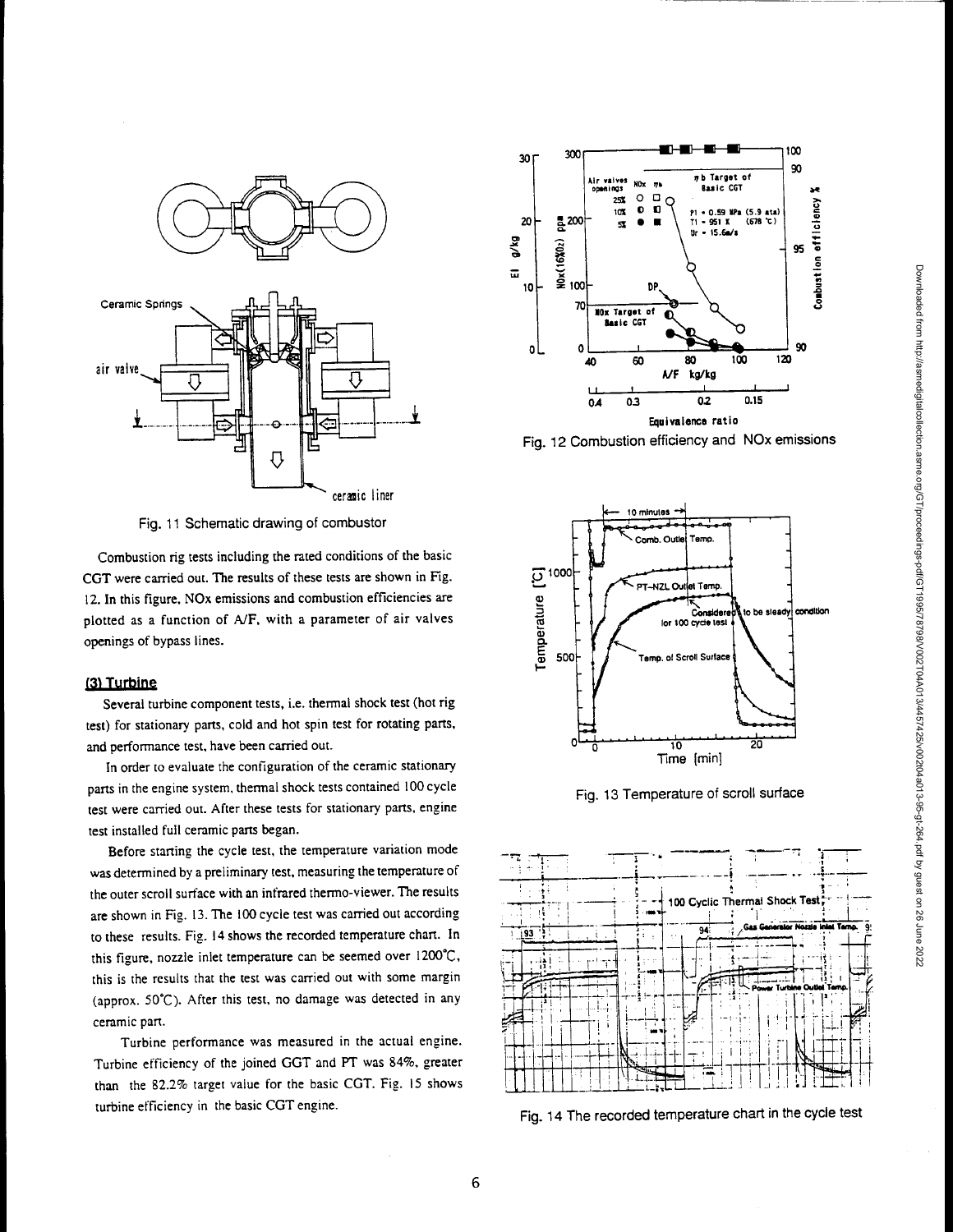

Fig. 11 Schematic drawing of combustor

Combustion rig tests including the rated conditions of the basic CGT were carried out. The results of these tests are shown in Fig. 12. In this figure, NOx emissions and combustion efficiencies are plotted as a function of A/F, with a parameter of air valves openings of bypass lines.

### (3) Turbine

Several turbine component tests, i.e. thermal shock test (hot rig test) for stationary parts, cold and hot spin test for rotating parts, and performance test, have been carried out.

In order to evaluate the configuration of the ceramic stationary parts in the engine system, thermal shock tests contained 100 cycle test were carried out. After these tests for stationary parts, engine test installed full ceramic parts began.

Before starting the cycle test, the temperature variation mode was determined by a preliminary test, measuring the temperature of the outer scroll surface with an infrared thermo-viewer. The results are shown in Fig. 13. The 100 cycle test was carried out according to these results. Fig. 14 shows the recorded temperature chart. In this figure, nozzle inlet temperature can be seemed over 1200°C, this is the results that the test was carried out with some margin (approx. 50°C). After this test, no damage was detected in any ceramic part.

Turbine performance was measured in the actual engine. Turbine efficiency of the joined GGT and PT was 84%, greater than the 82.2% target value for the basic CGT. Fig. 15 shows turbine efficiency in the basic CGT engine.



Fig. 12 Combustion efficiency and NOx emissions



Fig. 13 Temperature of scroll surface



Fig. 14 The recorded temperature chart in the cycle test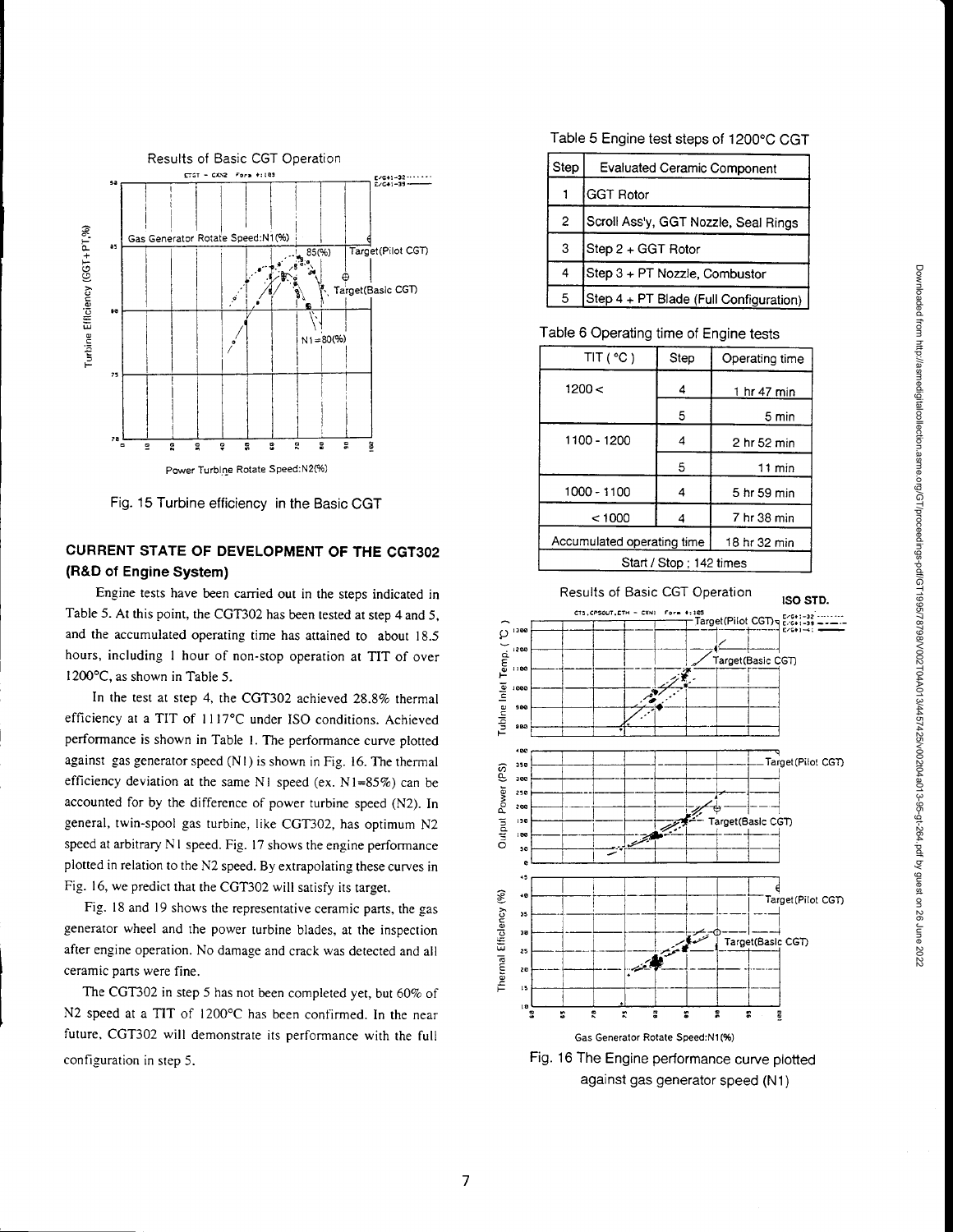

Fig. 15 Turbine efficiency in the Basic CGT

# CURRENT STATE OF DEVELOPMENT OF THE CGT302 (R&D of Engine System)

Engine tests have been carried out in the steps indicated in Table 5. At this point, the CGT302 has been tested at step 4 and 5, and the accumulated operating time has attained to about 18.5 hours, including 1 hour of non-stop operation at TIT of over 1200°C, as shown in Table 5.

In the test at step 4, the CGT302 achieved 28.8% thermal efficiency at a TIT of 1117°C under ISO conditions. Achieved performance is shown in Table 1. The performance curve plotted against gas generator speed (NI) is shown in Fig. 16. The thermal efficiency deviation at the same NI speed (ex. N 1=85%) can be accounted for by the difference of power turbine speed (N2). In general, twin-spool gas turbine, like CGT302, has optimum N2 speed at arbitrary NI speed. Fig. 17 shows the engine performance plotted in relation to the N2 speed. By extrapolating these curves in Fig. 16, we predict that the CGT302 will satisfy its target.

Fig. 18 and 19 shows the representative ceramic parts, the gas generator wheel and the power turbine blades, at the inspection after engine operation. No damage and crack was detected and all ceramic parts were fine.

The CGT302 in step 5 has not been completed yet, but 60% of N2 speed at a TIT of 1200°C has been confirmed. In the near future, CGT302 will demonstrate its performance with the full configuration in step 5.

# Table 5 Engine test steps of 1200°C CGT

| Step | <b>Evaluated Ceramic Component</b>     |  |  |  |
|------|----------------------------------------|--|--|--|
|      | <b>GGT Rotor</b>                       |  |  |  |
| 2    | Scroll Ass'y, GGT Nozzle, Seal Rings   |  |  |  |
| 3    | Step 2 + GGT Rotor                     |  |  |  |
| 4    | Step 3 + PT Nozzle, Combustor          |  |  |  |
| 5    | Step 4 + PT Blade (Full Configuration) |  |  |  |

#### Table 6 Operating time of Engine tests

| TIT('C)                    | Step         | Operating time   |  |  |  |
|----------------------------|--------------|------------------|--|--|--|
| 1200 <                     |              | 1 hr 47 min      |  |  |  |
|                            | 5            | 5 min            |  |  |  |
| 1100 - 1200                | 4            | 2 hr 52 min      |  |  |  |
|                            | 5            | $11 \text{ min}$ |  |  |  |
| 1000 - 1100                | 4            | 5 hr 59 min      |  |  |  |
| < 1000                     |              | 7 hr 38 min      |  |  |  |
| Accumulated operating time | 18 hr 32 min |                  |  |  |  |
| Start / Stop; 142 times    |              |                  |  |  |  |



against gas generator speed (Ni)